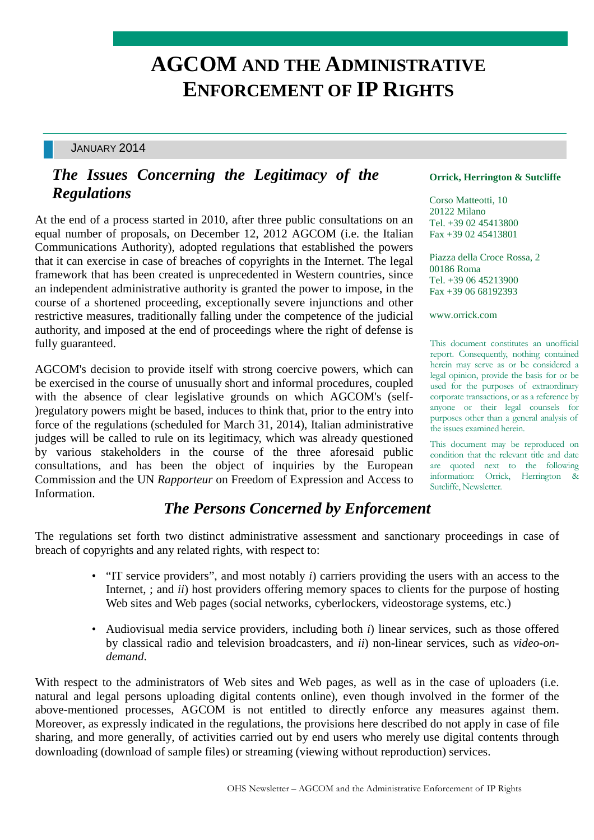# **AGCOM AND THE ADMINISTRATIVE ENFORCEMENT OF IP RIGHTS**

### JANUARY 2014

# *The Issues Concerning the Legitimacy of the Regulations*

At the end of a process started in 2010, after three public consultations on an equal number of proposals, on December 12, 2012 AGCOM (i.e. the Italian Communications Authority), adopted regulations that established the powers that it can exercise in case of breaches of copyrights in the Internet. The legal framework that has been created is unprecedented in Western countries, since an independent administrative authority is granted the power to impose, in the course of a shortened proceeding, exceptionally severe injunctions and other restrictive measures, traditionally falling under the competence of the judicial authority, and imposed at the end of proceedings where the right of defense is fully guaranteed.

AGCOM's decision to provide itself with strong coercive powers, which can be exercised in the course of unusually short and informal procedures, coupled with the absence of clear legislative grounds on which AGCOM's (self- )regulatory powers might be based, induces to think that, prior to the entry into force of the regulations (scheduled for March 31, 2014), Italian administrative judges will be called to rule on its legitimacy, which was already questioned by various stakeholders in the course of the three aforesaid public consultations, and has been the object of inquiries by the European Commission and the UN *Rapporteur* on Freedom of Expression and Access to Information.

### **Orrick, Herrington & Sutcliffe**

Corso Matteotti, 10 20122 Milano Tel. +39 02 45413800 Fax +39 02 45413801

Piazza della Croce Rossa, 2 00186 Roma Tel. +39 06 45213900 Fax +39 06 68192393

#### www.orrick.com

This document constitutes an unofficial report. Consequently, nothing contained herein may serve as or be considered a legal opinion, provide the basis for or be used for the purposes of extraordinary corporate transactions, or as a reference by anyone or their legal counsels for purposes other than a general analysis of the issues examined herein.

This document may be reproduced on condition that the relevant title and date are quoted next to the following information: Orrick, Herrington & Sutcliffe, Newsletter.

### *The Persons Concerned by Enforcement*

The regulations set forth two distinct administrative assessment and sanctionary proceedings in case of breach of copyrights and any related rights, with respect to:

- "IT service providers", and most notably *i*) carriers providing the users with an access to the Internet, ; and *ii*) host providers offering memory spaces to clients for the purpose of hosting Web sites and Web pages (social networks, cyberlockers, videostorage systems, etc.)
- Audiovisual media service providers, including both *i*) linear services, such as those offered by classical radio and television broadcasters, and *ii*) non-linear services, such as *video-ondemand*.

With respect to the administrators of Web sites and Web pages, as well as in the case of uploaders (i.e. natural and legal persons uploading digital contents online), even though involved in the former of the above-mentioned processes, AGCOM is not entitled to directly enforce any measures against them. Moreover, as expressly indicated in the regulations, the provisions here described do not apply in case of file sharing, and more generally, of activities carried out by end users who merely use digital contents through downloading (download of sample files) or streaming (viewing without reproduction) services.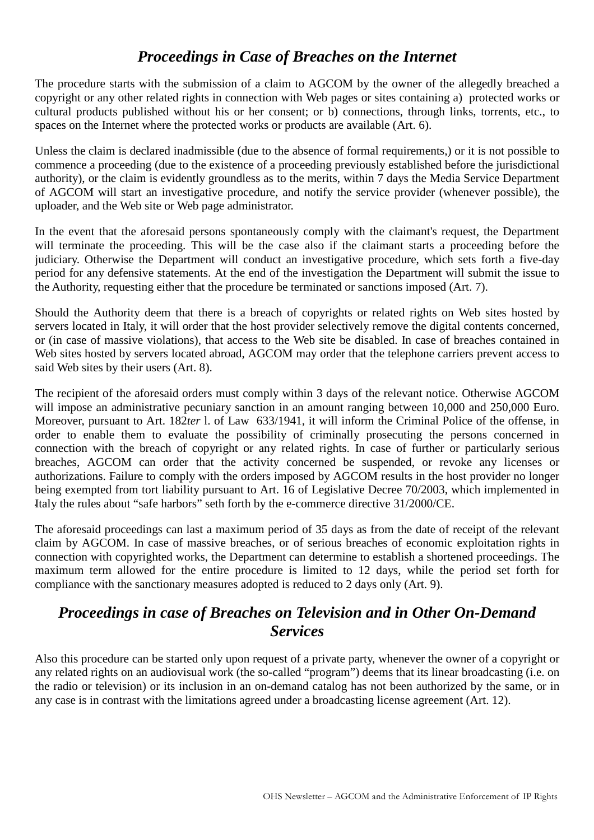### *Proceedings in Case of Breaches on the Internet*

The procedure starts with the submission of a claim to AGCOM by the owner of the allegedly breached a copyright or any other related rights in connection with Web pages or sites containing a) protected works or cultural products published without his or her consent; or b) connections, through links, torrents, etc., to spaces on the Internet where the protected works or products are available (Art. 6).

Unless the claim is declared inadmissible (due to the absence of formal requirements,) or it is not possible to commence a proceeding (due to the existence of a proceeding previously established before the jurisdictional authority), or the claim is evidently groundless as to the merits, within 7 days the Media Service Department of AGCOM will start an investigative procedure, and notify the service provider (whenever possible), the uploader, and the Web site or Web page administrator.

In the event that the aforesaid persons spontaneously comply with the claimant's request, the Department will terminate the proceeding. This will be the case also if the claimant starts a proceeding before the judiciary. Otherwise the Department will conduct an investigative procedure, which sets forth a five-day period for any defensive statements. At the end of the investigation the Department will submit the issue to the Authority, requesting either that the procedure be terminated or sanctions imposed (Art. 7).

Should the Authority deem that there is a breach of copyrights or related rights on Web sites hosted by servers located in Italy, it will order that the host provider selectively remove the digital contents concerned, or (in case of massive violations), that access to the Web site be disabled. In case of breaches contained in Web sites hosted by servers located abroad, AGCOM may order that the telephone carriers prevent access to said Web sites by their users (Art. 8).

The recipient of the aforesaid orders must comply within 3 days of the relevant notice. Otherwise AGCOM will impose an administrative pecuniary sanction in an amount ranging between 10,000 and 250,000 Euro. Moreover, pursuant to Art. 182*ter* l. of Law 633/1941, it will inform the Criminal Police of the offense, in order to enable them to evaluate the possibility of criminally prosecuting the persons concerned in connection with the breach of copyright or any related rights. In case of further or particularly serious breaches, AGCOM can order that the activity concerned be suspended, or revoke any licenses or authorizations. Failure to comply with the orders imposed by AGCOM results in the host provider no longer being exempted from tort liability pursuant to Art. 16 of Legislative Decree 70/2003, which implemented in Italy the rules about "safe harbors" seth forth by the e-commerce directive 31/2000/CE.

The aforesaid proceedings can last a maximum period of 35 days as from the date of receipt of the relevant claim by AGCOM. In case of massive breaches, or of serious breaches of economic exploitation rights in connection with copyrighted works, the Department can determine to establish a shortened proceedings. The maximum term allowed for the entire procedure is limited to 12 days, while the period set forth for compliance with the sanctionary measures adopted is reduced to 2 days only (Art. 9).

### *Proceedings in case of Breaches on Television and in Other On-Demand Services*

Also this procedure can be started only upon request of a private party, whenever the owner of a copyright or any related rights on an audiovisual work (the so-called "program") deems that its linear broadcasting (i.e. on the radio or television) or its inclusion in an on-demand catalog has not been authorized by the same, or in any case is in contrast with the limitations agreed under a broadcasting license agreement (Art. 12).